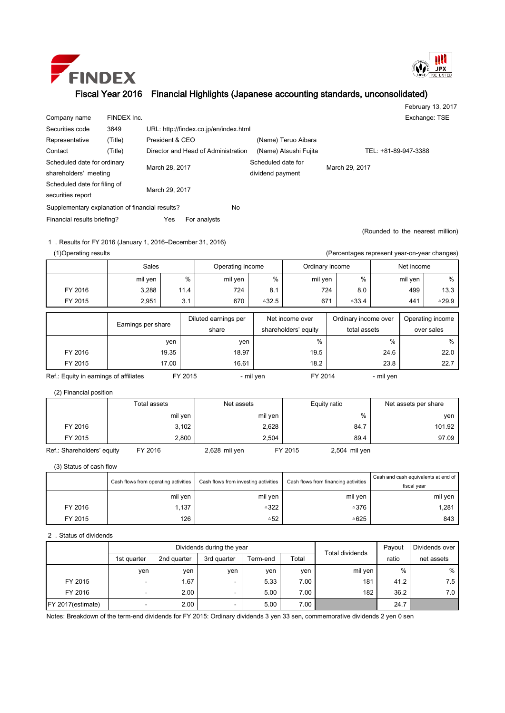



## Fiscal Year 2016 Financial Highlights (Japanese accounting standards, unconsolidated)

|                                                 |             |                                     |                                        |                       |                     |                      | February 13, 2017                |  |  |
|-------------------------------------------------|-------------|-------------------------------------|----------------------------------------|-----------------------|---------------------|----------------------|----------------------------------|--|--|
| Company name                                    | FINDEX Inc. |                                     |                                        |                       |                     |                      | Exchange: TSE                    |  |  |
| Securities code                                 | 3649        |                                     | URL: http://findex.co.jp/en/index.html |                       |                     |                      |                                  |  |  |
| Representative                                  | (Title)     | President & CEO                     |                                        |                       | (Name) Teruo Aibara |                      |                                  |  |  |
| Contact                                         | (Title)     | Director and Head of Administration |                                        | (Name) Atsushi Fujita |                     | TEL: +81-89-947-3388 |                                  |  |  |
| Scheduled date for ordinary                     |             |                                     |                                        | Scheduled date for    |                     |                      |                                  |  |  |
| shareholders' meeting                           |             | March 28, 2017                      |                                        |                       | dividend payment    | March 29, 2017       |                                  |  |  |
| Scheduled date for filing of                    |             | March 29, 2017                      |                                        |                       |                     |                      |                                  |  |  |
| securities report                               |             |                                     |                                        |                       |                     |                      |                                  |  |  |
| Supplementary explanation of financial results? |             |                                     |                                        | No.                   |                     |                      |                                  |  |  |
| Financial results briefing?                     |             | Yes                                 | For analysts                           |                       |                     |                      |                                  |  |  |
|                                                 |             |                                     |                                        |                       |                     |                      | (Rounded to the nearest million) |  |  |

1.Results for FY 2016 (January 1, 2016–December 31, 2016)

(1)Operating results (Percentages represent year-on-year changes)

|         | Sales   |                    |                      | Operating income |                    | Ordinary income      | Net income       |                      |            |                  |  |
|---------|---------|--------------------|----------------------|------------------|--------------------|----------------------|------------------|----------------------|------------|------------------|--|
|         | mil yen | %                  |                      | mil yen          | $\%$               | mil yen              | %                | mil yen              |            | %                |  |
| FY 2016 | 3,288   | 11.4               |                      | 724              | 8.1                |                      | 724<br>8.0       | 499                  |            | 13.3             |  |
| FY 2015 | 2.951   | 3.1                |                      | 670              | $^{\triangle}32.5$ | 671                  | $\triangle 33.4$ | 441                  |            | $\triangle$ 29.9 |  |
|         |         |                    |                      |                  |                    |                      |                  |                      |            |                  |  |
|         |         |                    | Diluted earnings per |                  |                    | Net income over      |                  | Ordinary income over |            | Operating income |  |
|         |         | Earnings per share |                      | share            |                    | shareholders' equity | total assets     |                      | over sales |                  |  |
|         |         | yen                |                      | yen              |                    | %                    |                  | $\%$                 |            | %                |  |
| FY 2016 |         | 19.35              |                      | 18.97            |                    | 19.5                 |                  | 24.6                 |            | 22.0             |  |
| FY 2015 |         | 17.00              |                      | 16.61            |                    | 18.2                 |                  | 23.8                 |            | 22.7             |  |

Ref.: Equity in earnings of affiliates FY 2015 - mil yen FY 2014 - mil yen

(2) Financial position

|                            | Total assets | Net assets    | Equity ratio             | Net assets per share |
|----------------------------|--------------|---------------|--------------------------|----------------------|
|                            | mil yen      | mil yen       | %                        | ven                  |
| FY 2016                    | 3,102        | 2,628         | 84.7                     | 101.92               |
| FY 2015                    | 2,800        | 2.504         | 89.4                     | 97.09                |
| Ref.: Shareholders' equity | FY 2016      | 2,628 mil yen | FY 2015<br>2,504 mil yen |                      |

(3) Status of cash flow

|         | Cash flows from operating activities | Cash flows from investing activities | Cash flows from financing activities | Cash and cash equivalents at end of<br>fiscal vear |  |
|---------|--------------------------------------|--------------------------------------|--------------------------------------|----------------------------------------------------|--|
|         | mil yen                              | mil yen                              | mil yen                              | mil yen                                            |  |
| FY 2016 | 1,137                                | △322                                 | ≙376                                 | 1,281                                              |  |
| FY 2015 | 126                                  | △52                                  | ≙625                                 | 843                                                |  |

## 2.Status of dividends

|                    |                          | Dividends during the year |                          | Total dividends | Payout | Dividends over |       |            |
|--------------------|--------------------------|---------------------------|--------------------------|-----------------|--------|----------------|-------|------------|
|                    | 1st quarter              | 2nd quarter               | 3rd quarter              | Term-end        | Total  |                | ratio | net assets |
|                    | ven                      | ven                       | ven                      | yen             | ven    | mil yen        | %     | %          |
| FY 2015            | -                        | 1.67                      | $\overline{\phantom{0}}$ | 5.33            | 7.00   | 181            | 41.2  | 7.5        |
| FY 2016            | $\overline{\phantom{0}}$ | 2.00                      | -                        | 5.00            | 7.00   | 182            | 36.2  | 7.0        |
| FY 2017 (estimate) | $\overline{\phantom{0}}$ | 2.00                      | -                        | 5.00            | 7.00   |                | 24.7  |            |

Notes: Breakdown of the term-end dividends for FY 2015: Ordinary dividends 3 yen 33 sen, commemorative dividends 2 yen 0 sen